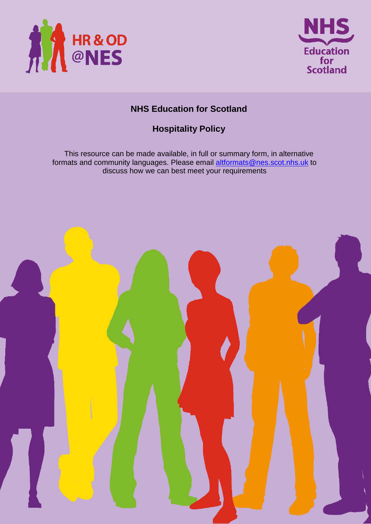



# **NHS Education for Scotland**

# **Hospitality Policy**

This resource can be made available, in full or summary form, in alternative formats and community languages. Please email altformats@nes.scot.nhs.uk to discuss how we can best meet your requirements

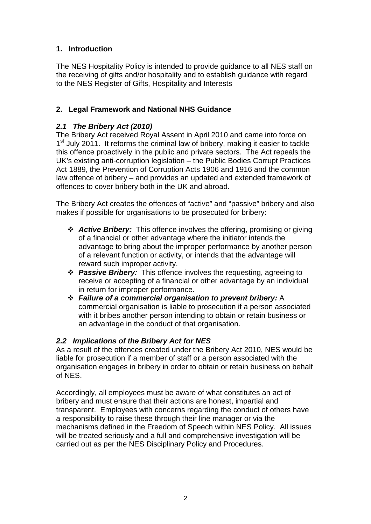# **1. Introduction**

The NES Hospitality Policy is intended to provide guidance to all NES staff on the receiving of gifts and/or hospitality and to establish guidance with regard to the NES Register of Gifts, Hospitality and Interests

# **2. Legal Framework and National NHS Guidance**

# **2.1 The Bribery Act (2010)**

The Bribery Act received Royal Assent in April 2010 and came into force on 1<sup>st</sup> July 2011. It reforms the criminal law of bribery, making it easier to tackle this offence proactively in the public and private sectors. The Act repeals the UK's existing anti-corruption legislation – the Public Bodies Corrupt Practices Act 1889, the Prevention of Corruption Acts 1906 and 1916 and the common law offence of bribery – and provides an updated and extended framework of offences to cover bribery both in the UK and abroad.

The Bribery Act creates the offences of "active" and "passive" bribery and also makes if possible for organisations to be prosecuted for bribery:

- **Active Bribery:** This offence involves the offering, promising or giving of a financial or other advantage where the initiator intends the advantage to bring about the improper performance by another person of a relevant function or activity, or intends that the advantage will reward such improper activity.
- **Passive Bribery:** This offence involves the requesting, agreeing to receive or accepting of a financial or other advantage by an individual in return for improper performance.
- **Failure of a commercial organisation to prevent bribery:** A commercial organisation is liable to prosecution if a person associated with it bribes another person intending to obtain or retain business or an advantage in the conduct of that organisation.

## **2.2 Implications of the Bribery Act for NES**

As a result of the offences created under the Bribery Act 2010, NES would be liable for prosecution if a member of staff or a person associated with the organisation engages in bribery in order to obtain or retain business on behalf of NES.

Accordingly, all employees must be aware of what constitutes an act of bribery and must ensure that their actions are honest, impartial and transparent. Employees with concerns regarding the conduct of others have a responsibility to raise these through their line manager or via the mechanisms defined in the Freedom of Speech within NES Policy. All issues will be treated seriously and a full and comprehensive investigation will be carried out as per the NES Disciplinary Policy and Procedures.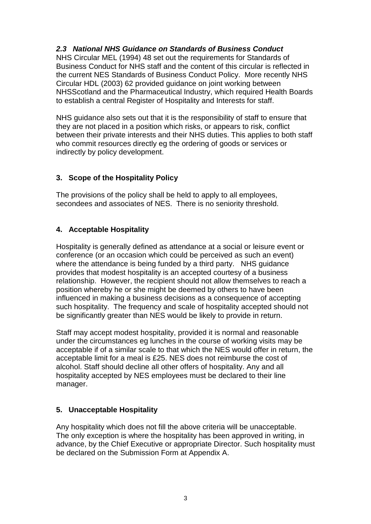# **2.3 National NHS Guidance on Standards of Business Conduct**

NHS Circular MEL (1994) 48 set out the requirements for Standards of Business Conduct for NHS staff and the content of this circular is reflected in the current NES Standards of Business Conduct Policy. More recently NHS Circular HDL (2003) 62 provided guidance on joint working between NHSScotland and the Pharmaceutical Industry, which required Health Boards to establish a central Register of Hospitality and Interests for staff.

NHS guidance also sets out that it is the responsibility of staff to ensure that they are not placed in a position which risks, or appears to risk, conflict between their private interests and their NHS duties. This applies to both staff who commit resources directly eg the ordering of goods or services or indirectly by policy development.

# **3. Scope of the Hospitality Policy**

The provisions of the policy shall be held to apply to all employees, secondees and associates of NES. There is no seniority threshold.

# **4. Acceptable Hospitality**

Hospitality is generally defined as attendance at a social or leisure event or conference (or an occasion which could be perceived as such an event) where the attendance is being funded by a third party. NHS guidance provides that modest hospitality is an accepted courtesy of a business relationship. However, the recipient should not allow themselves to reach a position whereby he or she might be deemed by others to have been influenced in making a business decisions as a consequence of accepting such hospitality. The frequency and scale of hospitality accepted should not be significantly greater than NES would be likely to provide in return.

Staff may accept modest hospitality, provided it is normal and reasonable under the circumstances eg lunches in the course of working visits may be acceptable if of a similar scale to that which the NES would offer in return, the acceptable limit for a meal is £25. NES does not reimburse the cost of alcohol. Staff should decline all other offers of hospitality. Any and all hospitality accepted by NES employees must be declared to their line manager.

# **5. Unacceptable Hospitality**

Any hospitality which does not fill the above criteria will be unacceptable. The only exception is where the hospitality has been approved in writing, in advance, by the Chief Executive or appropriate Director. Such hospitality must be declared on the Submission Form at Appendix A.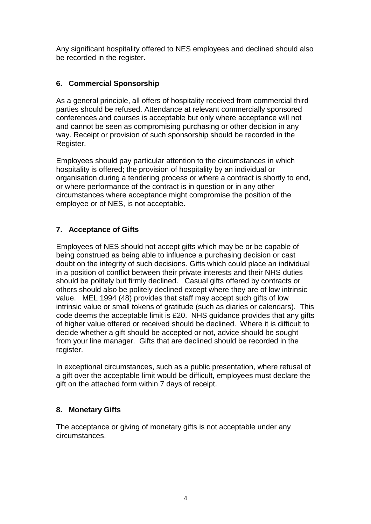Any significant hospitality offered to NES employees and declined should also be recorded in the register.

# **6. Commercial Sponsorship**

As a general principle, all offers of hospitality received from commercial third parties should be refused. Attendance at relevant commercially sponsored conferences and courses is acceptable but only where acceptance will not and cannot be seen as compromising purchasing or other decision in any way. Receipt or provision of such sponsorship should be recorded in the Register.

Employees should pay particular attention to the circumstances in which hospitality is offered; the provision of hospitality by an individual or organisation during a tendering process or where a contract is shortly to end, or where performance of the contract is in question or in any other circumstances where acceptance might compromise the position of the employee or of NES, is not acceptable.

# **7. Acceptance of Gifts**

Employees of NES should not accept gifts which may be or be capable of being construed as being able to influence a purchasing decision or cast doubt on the integrity of such decisions. Gifts which could place an individual in a position of conflict between their private interests and their NHS duties should be politely but firmly declined. Casual gifts offered by contracts or others should also be politely declined except where they are of low intrinsic value. MEL 1994 (48) provides that staff may accept such gifts of low intrinsic value or small tokens of gratitude (such as diaries or calendars). This code deems the acceptable limit is £20. NHS guidance provides that any gifts of higher value offered or received should be declined. Where it is difficult to decide whether a gift should be accepted or not, advice should be sought from your line manager. Gifts that are declined should be recorded in the register.

In exceptional circumstances, such as a public presentation, where refusal of a gift over the acceptable limit would be difficult, employees must declare the gift on the attached form within 7 days of receipt.

# **8. Monetary Gifts**

The acceptance or giving of monetary gifts is not acceptable under any circumstances.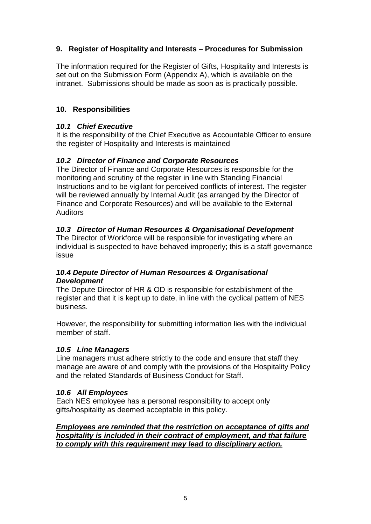# **9. Register of Hospitality and Interests – Procedures for Submission**

The information required for the Register of Gifts, Hospitality and Interests is set out on the Submission Form (Appendix A), which is available on the intranet. Submissions should be made as soon as is practically possible.

## **10. Responsibilities**

#### **10.1 Chief Executive**

It is the responsibility of the Chief Executive as Accountable Officer to ensure the register of Hospitality and Interests is maintained

## **10.2 Director of Finance and Corporate Resources**

The Director of Finance and Corporate Resources is responsible for the monitoring and scrutiny of the register in line with Standing Financial Instructions and to be vigilant for perceived conflicts of interest. The register will be reviewed annually by Internal Audit (as arranged by the Director of Finance and Corporate Resources) and will be available to the External **Auditors** 

#### **10.3 Director of Human Resources & Organisational Development**

The Director of Workforce will be responsible for investigating where an individual is suspected to have behaved improperly; this is a staff governance issue

#### **10.4 Depute Director of Human Resources & Organisational Development**

The Depute Director of HR & OD is responsible for establishment of the register and that it is kept up to date, in line with the cyclical pattern of NES business.

However, the responsibility for submitting information lies with the individual member of staff.

#### **10.5 Line Managers**

Line managers must adhere strictly to the code and ensure that staff they manage are aware of and comply with the provisions of the Hospitality Policy and the related Standards of Business Conduct for Staff.

#### **10.6 All Employees**

Each NES employee has a personal responsibility to accept only gifts/hospitality as deemed acceptable in this policy.

**Employees are reminded that the restriction on acceptance of gifts and hospitality is included in their contract of employment, and that failure to comply with this requirement may lead to disciplinary action.**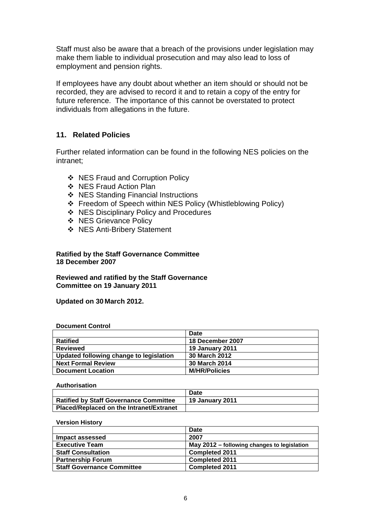Staff must also be aware that a breach of the provisions under legislation may make them liable to individual prosecution and may also lead to loss of employment and pension rights.

If employees have any doubt about whether an item should or should not be recorded, they are advised to record it and to retain a copy of the entry for future reference. The importance of this cannot be overstated to protect individuals from allegations in the future.

#### **11. Related Policies**

Further related information can be found in the following NES policies on the intranet;

- ❖ NES Fraud and Corruption Policy
- ❖ NES Fraud Action Plan
- ❖ NES Standing Financial Instructions
- Freedom of Speech within NES Policy (Whistleblowing Policy)
- ❖ NES Disciplinary Policy and Procedures
- ❖ NES Grievance Policy
- NES Anti-Bribery Statement

**Ratified by the Staff Governance Committee 18 December 2007** 

**Reviewed and ratified by the Staff Governance Committee on 19 January 2011** 

**Updated on 30 March 2012.** 

#### **Document Control**

|                                         | Date                   |
|-----------------------------------------|------------------------|
| <b>Ratified</b>                         | 18 December 2007       |
| Reviewed                                | <b>19 January 2011</b> |
| Updated following change to legislation | 30 March 2012          |
| <b>Next Formal Review</b>               | 30 March 2014          |
| <b>Document Location</b>                | <b>M/HR/Policies</b>   |

#### **Authorisation**

|                                               | Date                   |
|-----------------------------------------------|------------------------|
| <b>Ratified by Staff Governance Committee</b> | <b>19 January 2011</b> |
| Placed/Replaced on the Intranet/Extranet      |                        |

#### **Version History**

|                                   | Date                                        |
|-----------------------------------|---------------------------------------------|
| Impact assessed                   | 2007                                        |
| <b>Executive Team</b>             | May 2012 – following changes to legislation |
| <b>Staff Consultation</b>         | <b>Completed 2011</b>                       |
| <b>Partnership Forum</b>          | <b>Completed 2011</b>                       |
| <b>Staff Governance Committee</b> | <b>Completed 2011</b>                       |